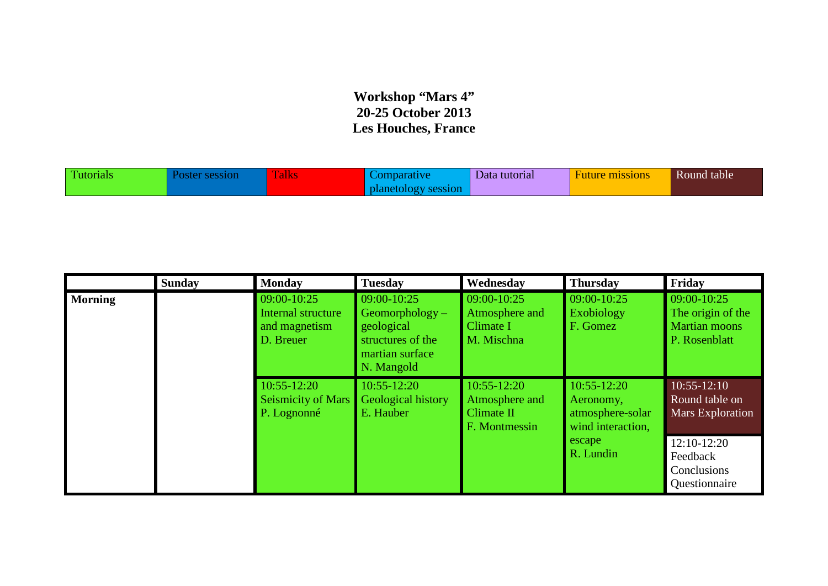## **Workshop "Mars 4" 20-25 October 2013 Les Houches, France**

| <b>CONTINUES</b><br>utorials<br>ssion | <b>CONTRACTOR</b><br>Talks | 310 n | Data tutorial | $\mathbf{r}$<br>missions<br><b>Huture</b> | Round table |
|---------------------------------------|----------------------------|-------|---------------|-------------------------------------------|-------------|
|---------------------------------------|----------------------------|-------|---------------|-------------------------------------------|-------------|

|                | <b>Sunday</b>                                               | <b>Monday</b>                                                   | <b>Tuesday</b>                                                                                       | Wednesday                                                             | <b>Thursday</b>                                              | Friday                                                                    |
|----------------|-------------------------------------------------------------|-----------------------------------------------------------------|------------------------------------------------------------------------------------------------------|-----------------------------------------------------------------------|--------------------------------------------------------------|---------------------------------------------------------------------------|
| <b>Morning</b> |                                                             | 09:00-10:25<br>Internal structure<br>and magnetism<br>D. Breuer | 09:00-10:25<br>$Geomorphology -$<br>geological<br>structures of the<br>martian surface<br>N. Mangold | 09:00-10:25<br>Atmosphere and<br>Climate I<br>M. Mischna              | $09:00 - 10:25$<br><b>Exobiology</b><br>F. Gomez             | 09:00-10:25<br>The origin of the<br><b>Martian moons</b><br>P. Rosenblatt |
|                | $10:55 - 12:20$<br><b>Seismicity of Mars</b><br>P. Lognonné | $10:55 - 12:20$<br><b>Geological history</b><br>E. Hauber       | $10:55 - 12:20$<br>Atmosphere and<br>Climate II<br>F. Montmessin                                     | $10:55 - 12:20$<br>Aeronomy,<br>atmosphere-solar<br>wind interaction, | $10:55 - 12:10$<br>Round table on<br><b>Mars Exploration</b> |                                                                           |
|                |                                                             |                                                                 |                                                                                                      |                                                                       | escape<br>R. Lundin                                          | $12:10-12:20$<br>Feedback<br>Conclusions<br>Questionnaire                 |